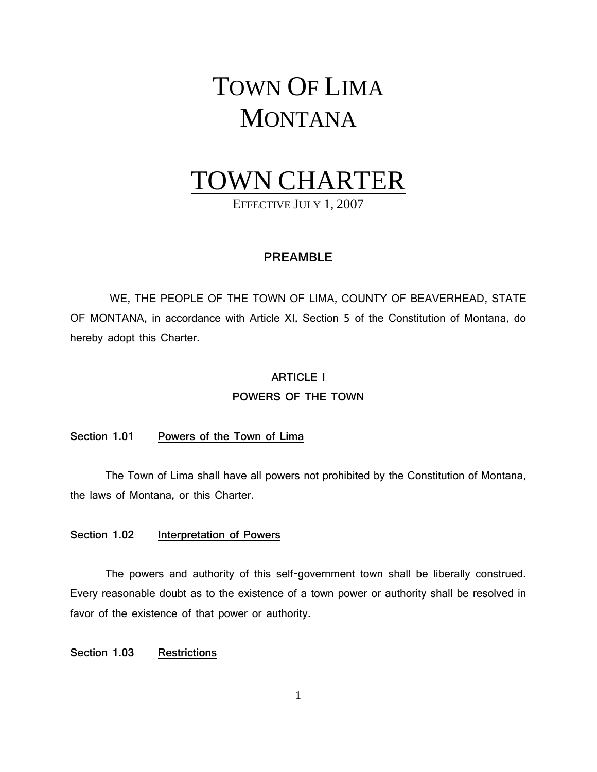# TOWN OF LIMA **MONTANA**

# OWN CHARTER

EFFECTIVE JULY 1, 2007

# **PREAMBLE**

WE, THE PEOPLE OF THE TOWN OF LIMA, COUNTY OF BEAVERHEAD, STATE OF MONTANA, in accordance with Article XI, Section 5 of the Constitution of Montana, do hereby adopt this Charter.

# **ARTICLE I POWERS OF THE TOWN**

# **Section 1.01 Powers of the Town of Lima**

The Town of Lima shall have all powers not prohibited by the Constitution of Montana, the laws of Montana, or this Charter.

#### **Section 1.02 Interpretation of Powers**

The powers and authority of this self-government town shall be liberally construed. Every reasonable doubt as to the existence of a town power or authority shall be resolved in favor of the existence of that power or authority.

**Section 1.03 Restrictions**

1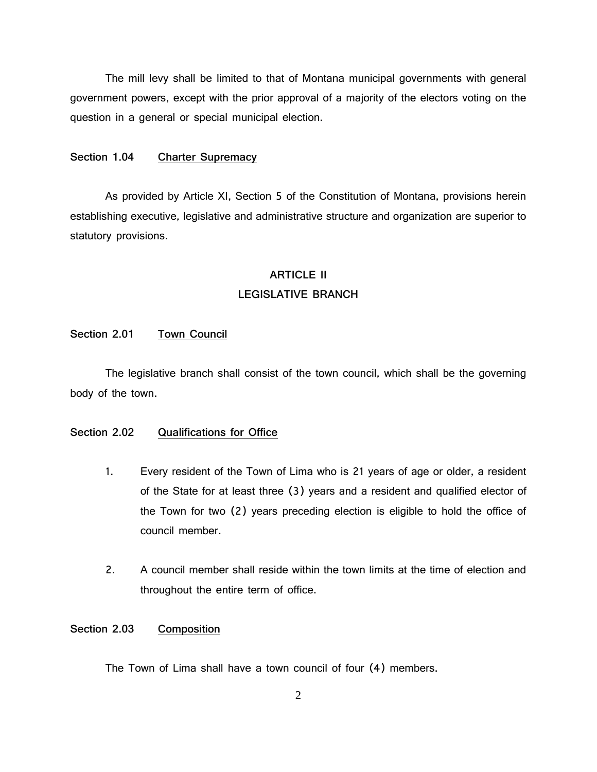The mill levy shall be limited to that of Montana municipal governments with general government powers, except with the prior approval of a majority of the electors voting on the question in a general or special municipal election.

#### **Section 1.04 Charter Supremacy**

As provided by Article XI, Section 5 of the Constitution of Montana, provisions herein establishing executive, legislative and administrative structure and organization are superior to statutory provisions.

# **ARTICLE II LEGISLATIVE BRANCH**

# **Section 2.01 Town Council**

The legislative branch shall consist of the town council, which shall be the governing body of the town.

#### **Section 2.02 Qualifications for Office**

- 1. Every resident of the Town of Lima who is 21 years of age or older, a resident of the State for at least three (3) years and a resident and qualified elector of the Town for two (2) years preceding election is eligible to hold the office of council member.
- 2. A council member shall reside within the town limits at the time of election and throughout the entire term of office.

# **Section 2.03 Composition**

The Town of Lima shall have a town council of four (4) members.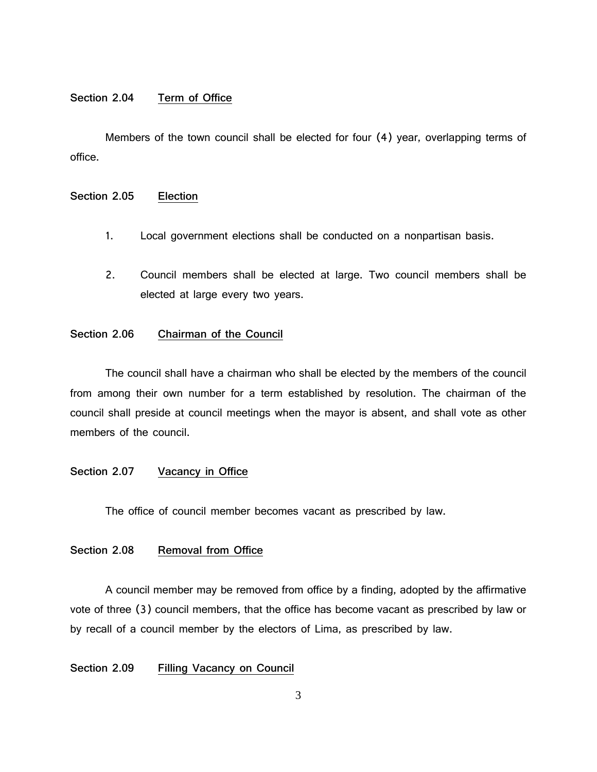#### **Section 2.04 Term of Office**

Members of the town council shall be elected for four (4) year, overlapping terms of office.

#### **Section 2.05 Election**

- 1. Local government elections shall be conducted on a nonpartisan basis.
- 2. Council members shall be elected at large. Two council members shall be elected at large every two years.

## **Section 2.06 Chairman of the Council**

The council shall have a chairman who shall be elected by the members of the council from among their own number for a term established by resolution. The chairman of the council shall preside at council meetings when the mayor is absent, and shall vote as other members of the council.

#### **Section 2.07 Vacancy in Office**

The office of council member becomes vacant as prescribed by law.

#### **Section 2.08 Removal from Office**

A council member may be removed from office by a finding, adopted by the affirmative vote of three (3) council members, that the office has become vacant as prescribed by law or by recall of a council member by the electors of Lima, as prescribed by law.

#### **Section 2.09 Filling Vacancy on Council**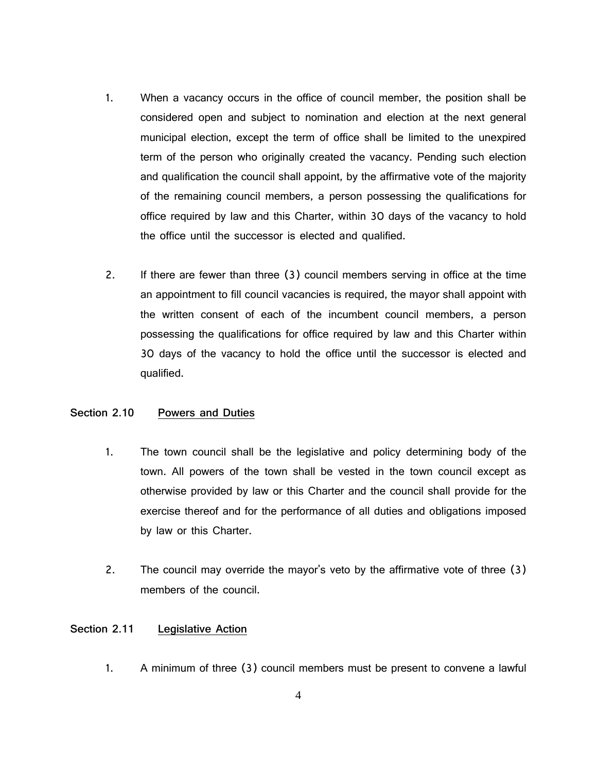- 1. When a vacancy occurs in the office of council member, the position shall be considered open and subject to nomination and election at the next general municipal election, except the term of office shall be limited to the unexpired term of the person who originally created the vacancy. Pending such election and qualification the council shall appoint, by the affirmative vote of the majority of the remaining council members, a person possessing the qualifications for office required by law and this Charter, within 30 days of the vacancy to hold the office until the successor is elected and qualified.
- 2. If there are fewer than three (3) council members serving in office at the time an appointment to fill council vacancies is required, the mayor shall appoint with the written consent of each of the incumbent council members, a person possessing the qualifications for office required by law and this Charter within 30 days of the vacancy to hold the office until the successor is elected and qualified.

### **Section 2.10 Powers and Duties**

- 1. The town council shall be the legislative and policy determining body of the town. All powers of the town shall be vested in the town council except as otherwise provided by law or this Charter and the council shall provide for the exercise thereof and for the performance of all duties and obligations imposed by law or this Charter.
- 2. The council may override the mayor's veto by the affirmative vote of three (3) members of the council.

#### **Section 2.11 Legislative Action**

1. A minimum of three (3) council members must be present to convene a lawful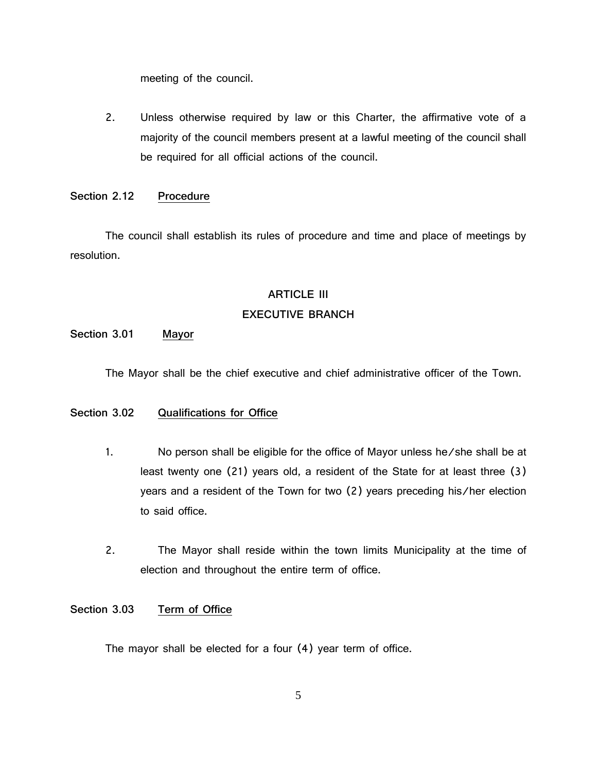meeting of the council.

2. Unless otherwise required by law or this Charter, the affirmative vote of a majority of the council members present at a lawful meeting of the council shall be required for all official actions of the council.

#### **Section 2.12 Procedure**

The council shall establish its rules of procedure and time and place of meetings by resolution.

#### **ARTICLE III**

#### **EXECUTIVE BRANCH**

# **Section 3.01 Mayor**

The Mayor shall be the chief executive and chief administrative officer of the Town.

#### **Section 3.02 Qualifications for Office**

- 1. No person shall be eligible for the office of Mayor unless he/she shall be at least twenty one (21) years old, a resident of the State for at least three (3) years and a resident of the Town for two (2) years preceding his/her election to said office.
- 2. The Mayor shall reside within the town limits Municipality at the time of election and throughout the entire term of office.

#### **Section 3.03 Term of Office**

The mayor shall be elected for a four (4) year term of office.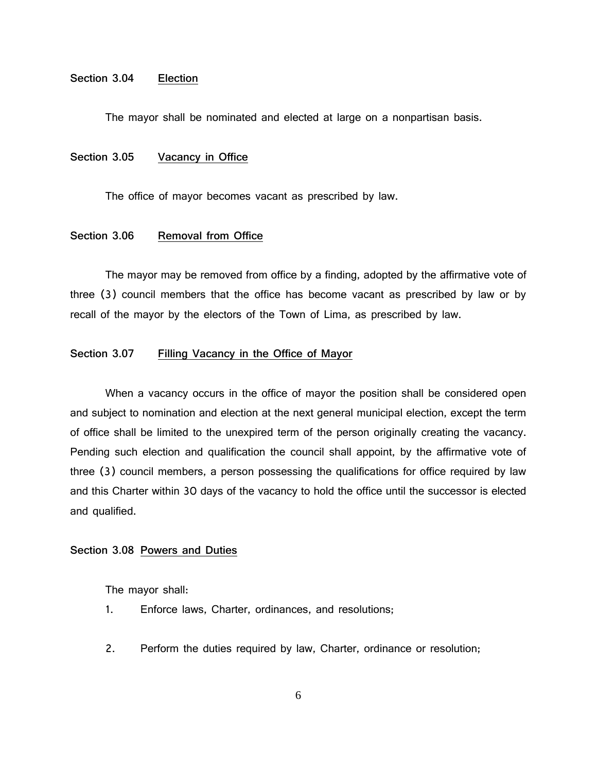#### **Section 3.04 Election**

The mayor shall be nominated and elected at large on a nonpartisan basis.

#### **Section 3.05 Vacancy in Office**

The office of mayor becomes vacant as prescribed by law.

## **Section 3.06 Removal from Office**

The mayor may be removed from office by a finding, adopted by the affirmative vote of three (3) council members that the office has become vacant as prescribed by law or by recall of the mayor by the electors of the Town of Lima, as prescribed by law.

## **Section 3.07 Filling Vacancy in the Office of Mayor**

When a vacancy occurs in the office of mayor the position shall be considered open and subject to nomination and election at the next general municipal election, except the term of office shall be limited to the unexpired term of the person originally creating the vacancy. Pending such election and qualification the council shall appoint, by the affirmative vote of three (3) council members, a person possessing the qualifications for office required by law and this Charter within 30 days of the vacancy to hold the office until the successor is elected and qualified.

#### **Section 3.08 Powers and Duties**

The mayor shall:

- 1. Enforce laws, Charter, ordinances, and resolutions;
- 2. Perform the duties required by law, Charter, ordinance or resolution;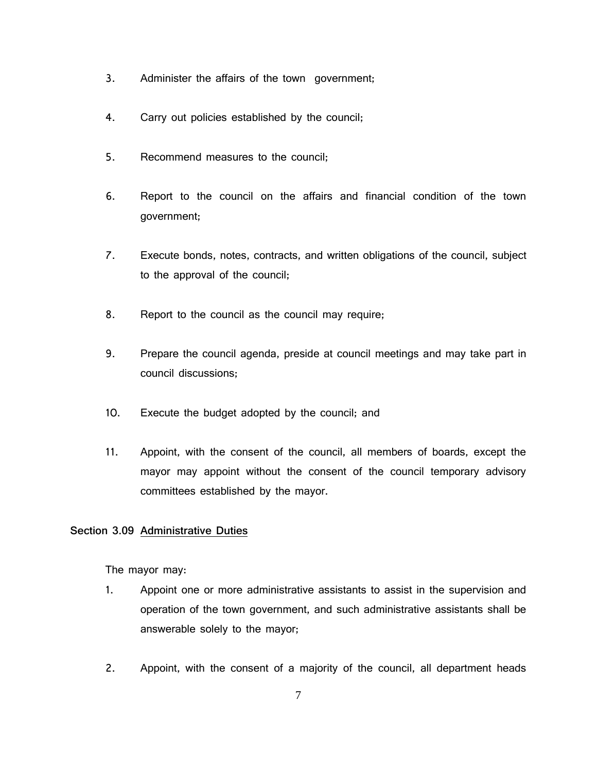- 3. Administer the affairs of the town government;
- 4. Carry out policies established by the council;
- 5. Recommend measures to the council;
- 6. Report to the council on the affairs and financial condition of the town government;
- 7. Execute bonds, notes, contracts, and written obligations of the council, subject to the approval of the council;
- 8. Report to the council as the council may require;
- 9. Prepare the council agenda, preside at council meetings and may take part in council discussions;
- 10. Execute the budget adopted by the council; and
- 11. Appoint, with the consent of the council, all members of boards, except the mayor may appoint without the consent of the council temporary advisory committees established by the mayor.

#### **Section 3.09 Administrative Duties**

The mayor may:

- 1. Appoint one or more administrative assistants to assist in the supervision and operation of the town government, and such administrative assistants shall be answerable solely to the mayor;
- 2. Appoint, with the consent of a majority of the council, all department heads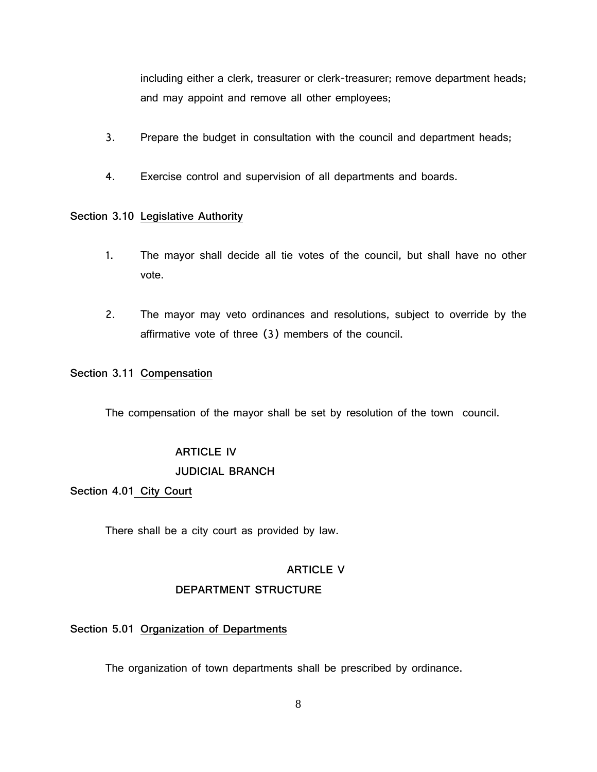including either a clerk, treasurer or clerk-treasurer; remove department heads; and may appoint and remove all other employees;

- 3. Prepare the budget in consultation with the council and department heads;
- 4. Exercise control and supervision of all departments and boards.

# **Section 3.10 Legislative Authority**

- 1. The mayor shall decide all tie votes of the council, but shall have no other vote.
- 2. The mayor may veto ordinances and resolutions, subject to override by the affirmative vote of three (3) members of the council.

# **Section 3.11 Compensation**

The compensation of the mayor shall be set by resolution of the town council.

# **ARTICLE IV**

# **JUDICIAL BRANCH**

# **Section 4.01 City Court**

There shall be a city court as provided by law.

# **ARTICLE V**

# **DEPARTMENT STRUCTURE**

# **Section 5.01 Organization of Departments**

The organization of town departments shall be prescribed by ordinance.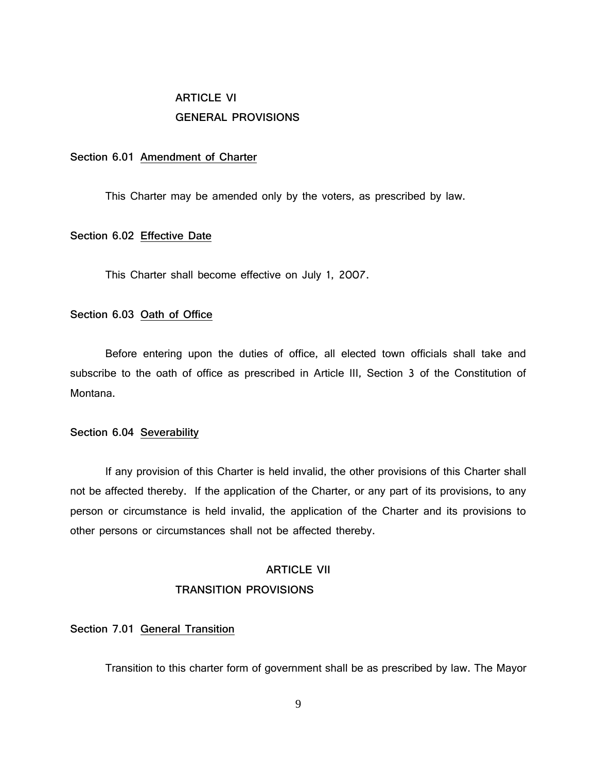# **ARTICLE VI GENERAL PROVISIONS**

#### **Section 6.01 Amendment of Charter**

This Charter may be amended only by the voters, as prescribed by law.

# **Section 6.02 Effective Date**

This Charter shall become effective on July 1, 2007.

#### **Section 6.03 Oath of Office**

Before entering upon the duties of office, all elected town officials shall take and subscribe to the oath of office as prescribed in Article III, Section 3 of the Constitution of Montana.

#### **Section 6.04 Severability**

If any provision of this Charter is held invalid, the other provisions of this Charter shall not be affected thereby. If the application of the Charter, or any part of its provisions, to any person or circumstance is held invalid, the application of the Charter and its provisions to other persons or circumstances shall not be affected thereby.

# **ARTICLE VII**

#### **TRANSITION PROVISIONS**

### **Section 7.01 General Transition**

Transition to this charter form of government shall be as prescribed by law. The Mayor